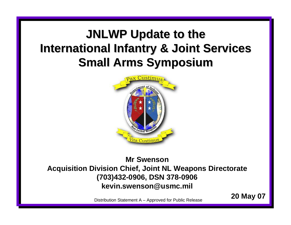## **JNLWP Update to the International Infantry & Joint Services Small Arms Symposium Small Arms Symposium**



### **Mr SwensonAcquisition Division Chief, Joint NL Weapons Directorate (703)432-0906, DSN 378-0906 kevin.swenson@usmc.mil**

**20 May 07** Distribution Statement A – Approved for Public Release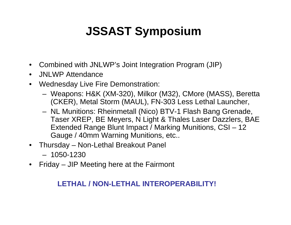# **JSSAST Symposium**

- •Combined with JNLWP's Joint Integration Program (JIP)
- •JNLWP Attendance
- • Wednesday Live Fire Demonstration:
	- Weapons: H&K (XM-320), Milkor (M32), CMore (MASS), Beretta (CKER), Metal Storm (MAUL), FN-303 Less Lethal Launcher,
	- NL Munitions: Rheinmetall (Nico) BTV-1 Flash Bang Grenade, Taser XREP, BE Meyers, N Light & Thales Laser Dazzlers, BAE Extended Range Blunt Impact / Marking Munitions, CSI – 12 Gauge / 40mm Warning Munitions, etc..
- Thursday Non-Lethal Breakout Panel
	- 1050-1230
- •Friday – JIP Meeting here at the Fairmont

### **LETHAL / NON-LETHAL INTEROPERABILITY!**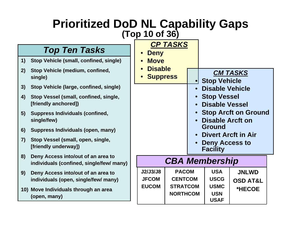### **Prioritized DoD NL Capability Gaps (Top 10 of 36)**

### *Top Ten Tasks*

- **1) Stop Vehicle (small, confined, single)**
- **2) Stop Vehicle (medium, confined, single)**
- **3) Stop Vehicle (large, confined, single)**
- **4) Stop Vessel (small, co nfined, single, [friendly anchored])**
- **5) Suppress Individuals (confined, single/few)**
- **6) Suppress Individuals (open, many)**
- **7) Stop Vessel (small, open, single, [friendly underway])**
- **8) Den y Access into/out of an area to individuals (confined, single/few/ many)**
- **9) Den y Access into/out of an area to individuals (open, single/few/ man y)**
- **10) Move Individuals through an area (open, many)**

| . vu<br>p 10 of 36)   |                 | <b>UNIIILY VUPU</b>                      |                       |  |
|-----------------------|-----------------|------------------------------------------|-----------------------|--|
| <b>CP TASKS</b>       |                 |                                          |                       |  |
| • Deny<br><b>Move</b> |                 |                                          |                       |  |
| <b>Disable</b>        |                 |                                          | <b>CM TASKS</b>       |  |
| • Suppress            |                 | <b>Stop Vehicle</b>                      |                       |  |
|                       |                 | • Disable Vehicle                        |                       |  |
|                       |                 | • Stop Vessel                            |                       |  |
|                       |                 | • Disable Vessel                         |                       |  |
|                       |                 | <b>Stop Arcft on Ground</b>              |                       |  |
|                       |                 | <b>Disable Arcft on</b><br>Ground        |                       |  |
|                       |                 |                                          | • Divert Arcft in Air |  |
|                       |                 | <b>Deny Access to</b><br><b>Facility</b> |                       |  |
| <b>CBA Membership</b> |                 |                                          |                       |  |
| J2/J3/J8              | <b>PACOM</b>    | <b>USA</b>                               | <b>JNLWD</b>          |  |
| <b>JFCOM</b>          | <b>CENTCOM</b>  | <b>USCG</b>                              | <b>OSD AT&amp;L</b>   |  |
| <b>EUCOM</b>          | <b>STRATCOM</b> | <b>USMC</b><br><b>USN</b>                | *HECOE                |  |
|                       | <b>NORTHCOM</b> |                                          |                       |  |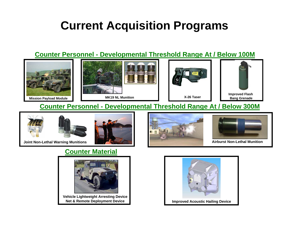## **Current Acquisition Programs**

#### **Counter Personnel - Developmental Threshold Range At / Below 100M**



#### **Counter Personnel - Developmental Threshold Range At / Below 300M**





**Joint Non-Lethal Warning Munitions Airburst Non-Lethal Munition**

### **Counter Material**



**Vehicle Lightweight Arresting Device Net & Remote Deployment Device**





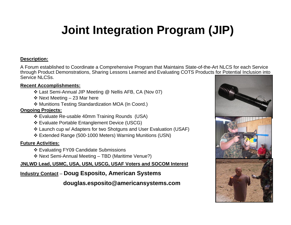# **Joint Integration Program (JIP)**

#### **Description:**

A Forum established to Coordinate a Comprehensive Program that Maintains State-of-the-Art NLCS for each Service through Product Demonstrations, Sharing Lessons Learned and Evaluating COTS Products for Potential Inclusion into Service NLCSs.

#### **Recent Accomplishments:**

- Last Semi-Annual JIP Meeting @ Nellis AFB, CA (Nov 07)
- ❖ Next Meeting 23 Mar here
- Munitions Testing Standardization MOA (In Coord.)

#### **Ongoing Projects:**

- Evaluate Re-usable 40mm Training Rounds (USA)
- Evaluate Portable Entanglement Device (USCG)
- Launch cup w/ Adapters for two Shotguns and User Evaluation (USAF)
- Extended Range (500-1000 Meters) Warning Munitions (USN)

#### **Future Activities:**

- Evaluating FY09 Candidate Submissions
- Next Semi-Annual Meeting TBD (Maritime Venue?)

**JNLWD Lead, USMC, USA, USN, USCG, USAF Voters and SOCOM Interest**

#### **Industry Contact** – **Doug Esposito, American Systems**

**douglas.esposito@americansystems.com**

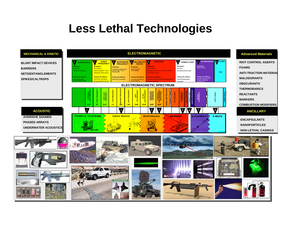## **Less Lethal Technologies**



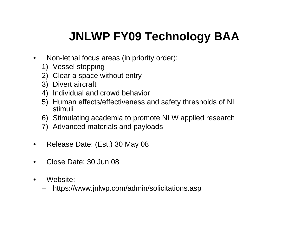# **JNLWP FY09 Technology BAA**

- $\bullet$  Non-lethal focus areas (in priority order):
	- 1) Vessel stopping
	- 2) Clear a space without entry
	- 3) Divert aircraft
	- 4) Individual and crowd behavior
	- 5) Human effects/effectiveness and safety thresholds of NL stimuli
	- 6) Stimulating academia to promote NLW applied research
	- 7) Advanced materials and payloads
- •Release Date: (Est.) 30 May 08
- •Close Date: 30 Jun 08
- • Website:
	- https://www.jnlwp.com/admin/solicitations.asp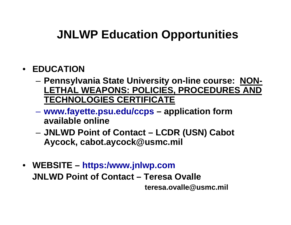# **JNLWP Education Opportunities**

- **EDUCATION** 
	- – **Pennsylvania State University on-line course: NON-LETHAL WEAPONS: POLICIES, PROCEDURES AND TECHNOLOGIES CERTIFICATE**
	- **Hart Committee www.fayette.psu.edu/ccps – application form available online**
	- and the state of the **JNLWD Point of Contact – LCDR (USN) Cabot Aycock, cabot.aycock@usmc.mil**
- **WEBSITE – https:/www.jnlwp.com JNLWD Point of Contact – Teresa Ovalleteresa.ovalle@usmc.mil**